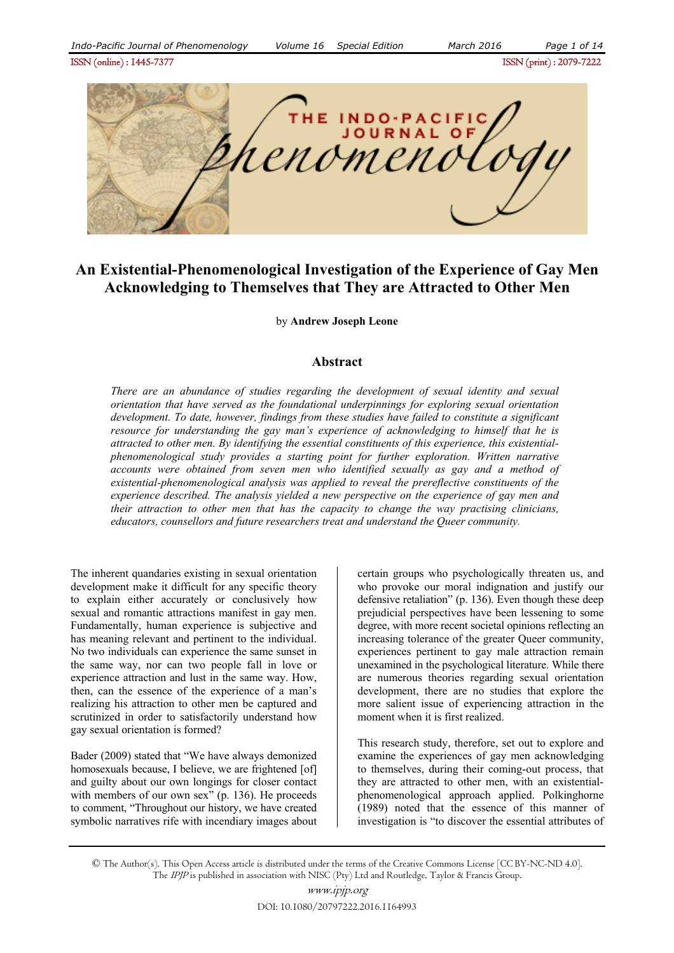ISSN (online) : 1445-7377ISSN (print) : 2079-7222



# **An Existential-Phenomenological Investigation of the Experience of Gay Men Acknowledging to Themselves that They are Attracted to Other Men**

by **Andrew Joseph Leone**

### **Abstract**

*There are an abundance of studies regarding the development of sexual identity and sexual orientation that have served as the foundational underpinnings for exploring sexual orientation development. To date, however, findings from these studies have failed to constitute a significant resource for understanding the gay man's experience of acknowledging to himself that he is attracted to other men. By identifying the essential constituents of this experience, this existentialphenomenological study provides a starting point for further exploration. Written narrative accounts were obtained from seven men who identified sexually as gay and a method of existential-phenomenological analysis was applied to reveal the prereflective constituents of the experience described. The analysis yielded a new perspective on the experience of gay men and their attraction to other men that has the capacity to change the way practising clinicians, educators, counsellors and future researchers treat and understand the Queer community.* 

The inherent quandaries existing in sexual orientation development make it difficult for any specific theory to explain either accurately or conclusively how sexual and romantic attractions manifest in gay men. Fundamentally, human experience is subjective and has meaning relevant and pertinent to the individual. No two individuals can experience the same sunset in the same way, nor can two people fall in love or experience attraction and lust in the same way. How, then, can the essence of the experience of a man's realizing his attraction to other men be captured and scrutinized in order to satisfactorily understand how gay sexual orientation is formed?

Bader (2009) stated that "We have always demonized homosexuals because, I believe, we are frightened [of] and guilty about our own longings for closer contact with members of our own sex" (p. 136). He proceeds to comment, "Throughout our history, we have created symbolic narratives rife with incendiary images about certain groups who psychologically threaten us, and who provoke our moral indignation and justify our defensive retaliation" (p. 136). Even though these deep prejudicial perspectives have been lessening to some degree, with more recent societal opinions reflecting an increasing tolerance of the greater Queer community, experiences pertinent to gay male attraction remain unexamined in the psychological literature. While there are numerous theories regarding sexual orientation development, there are no studies that explore the more salient issue of experiencing attraction in the moment when it is first realized.

This research study, therefore, set out to explore and examine the experiences of gay men acknowledging to themselves, during their coming-out process, that they are attracted to other men, with an existentialphenomenological approach applied. Polkinghorne (1989) noted that the essence of this manner of investigation is "to discover the essential attributes of

<sup>©</sup> The Author(s). This Open Access article is distributed under the terms of the Creative Commons License [CC BY-NC-ND 4.0]. The IPJP is published in association with NISC (Pty) Ltd and Routledge, Taylor & Francis Group.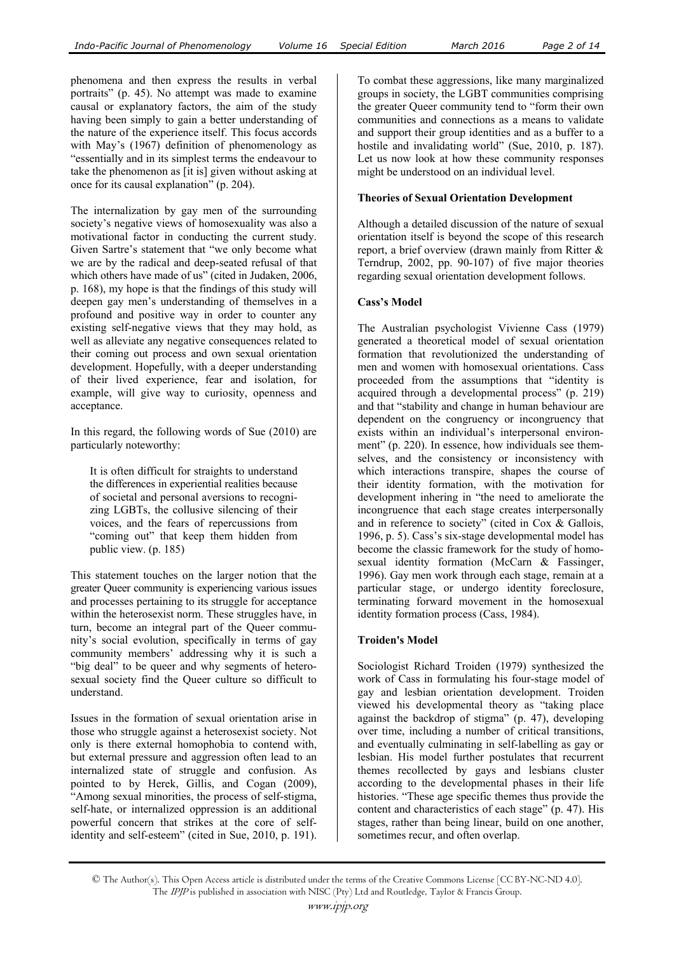phenomena and then express the results in verbal portraits" (p. 45). No attempt was made to examine causal or explanatory factors, the aim of the study having been simply to gain a better understanding of the nature of the experience itself. This focus accords with May's (1967) definition of phenomenology as "essentially and in its simplest terms the endeavour to take the phenomenon as [it is] given without asking at once for its causal explanation" (p. 204).

The internalization by gay men of the surrounding society's negative views of homosexuality was also a motivational factor in conducting the current study. Given Sartre's statement that "we only become what we are by the radical and deep-seated refusal of that which others have made of us" (cited in Judaken, 2006, p. 168), my hope is that the findings of this study will deepen gay men's understanding of themselves in a profound and positive way in order to counter any existing self-negative views that they may hold, as well as alleviate any negative consequences related to their coming out process and own sexual orientation development. Hopefully, with a deeper understanding of their lived experience, fear and isolation, for example, will give way to curiosity, openness and acceptance.

In this regard, the following words of Sue (2010) are particularly noteworthy:

It is often difficult for straights to understand the differences in experiential realities because of societal and personal aversions to recognizing LGBTs, the collusive silencing of their voices, and the fears of repercussions from "coming out" that keep them hidden from public view. (p. 185)

This statement touches on the larger notion that the greater Queer community is experiencing various issues and processes pertaining to its struggle for acceptance within the heterosexist norm. These struggles have, in turn, become an integral part of the Queer community's social evolution, specifically in terms of gay community members' addressing why it is such a "big deal" to be queer and why segments of heterosexual society find the Queer culture so difficult to understand.

Issues in the formation of sexual orientation arise in those who struggle against a heterosexist society. Not only is there external homophobia to contend with, but external pressure and aggression often lead to an internalized state of struggle and confusion. As pointed to by Herek, Gillis, and Cogan (2009), "Among sexual minorities, the process of self-stigma, self-hate, or internalized oppression is an additional powerful concern that strikes at the core of selfidentity and self-esteem" (cited in Sue, 2010, p. 191).

To combat these aggressions, like many marginalized groups in society, the LGBT communities comprising the greater Queer community tend to "form their own communities and connections as a means to validate and support their group identities and as a buffer to a hostile and invalidating world" (Sue, 2010, p. 187). Let us now look at how these community responses might be understood on an individual level.

### **Theories of Sexual Orientation Development**

Although a detailed discussion of the nature of sexual orientation itself is beyond the scope of this research report, a brief overview (drawn mainly from Ritter & Terndrup, 2002, pp. 90-107) of five major theories regarding sexual orientation development follows.

### **Cass's Model**

The Australian psychologist Vivienne Cass (1979) generated a theoretical model of sexual orientation formation that revolutionized the understanding of men and women with homosexual orientations. Cass proceeded from the assumptions that "identity is acquired through a developmental process" (p. 219) and that "stability and change in human behaviour are dependent on the congruency or incongruency that exists within an individual's interpersonal environment" (p. 220). In essence, how individuals see themselves, and the consistency or inconsistency with which interactions transpire, shapes the course of their identity formation, with the motivation for development inhering in "the need to ameliorate the incongruence that each stage creates interpersonally and in reference to society" (cited in Cox & Gallois, 1996, p. 5). Cass's six-stage developmental model has become the classic framework for the study of homosexual identity formation (McCarn & Fassinger, 1996). Gay men work through each stage, remain at a particular stage, or undergo identity foreclosure, terminating forward movement in the homosexual identity formation process (Cass, 1984).

#### **Troiden's Model**

Sociologist Richard Troiden (1979) synthesized the work of Cass in formulating his four-stage model of gay and lesbian orientation development. Troiden viewed his developmental theory as "taking place against the backdrop of stigma" (p. 47), developing over time, including a number of critical transitions, and eventually culminating in self-labelling as gay or lesbian. His model further postulates that recurrent themes recollected by gays and lesbians cluster according to the developmental phases in their life histories. "These age specific themes thus provide the content and characteristics of each stage" (p. 47). His stages, rather than being linear, build on one another, sometimes recur, and often overlap.

<sup>©</sup> The Author(s). This Open Access article is distributed under the terms of the Creative Commons License [CC BY-NC-ND 4.0]. The  $IDP$  is published in association with NISC (Pty) Ltd and Routledge, Taylor & Francis Group.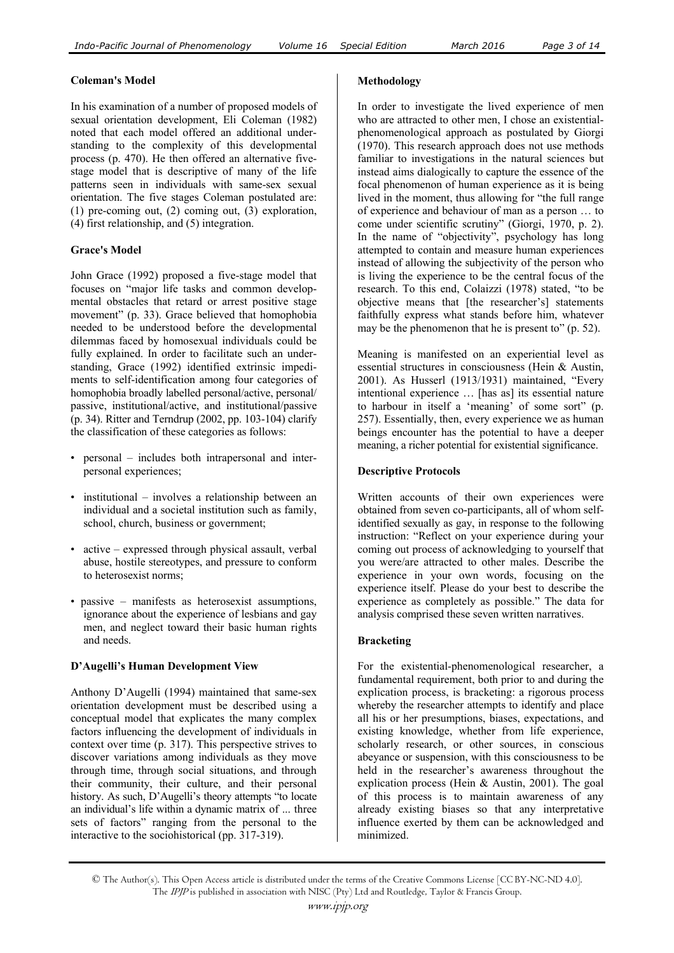In his examination of a number of proposed models of sexual orientation development, Eli Coleman (1982) noted that each model offered an additional understanding to the complexity of this developmental process (p. 470). He then offered an alternative fivestage model that is descriptive of many of the life patterns seen in individuals with same-sex sexual orientation. The five stages Coleman postulated are: (1) pre-coming out, (2) coming out, (3) exploration, (4) first relationship, and (5) integration.

# **Grace's Model**

John Grace (1992) proposed a five-stage model that focuses on "major life tasks and common developmental obstacles that retard or arrest positive stage movement" (p. 33). Grace believed that homophobia needed to be understood before the developmental dilemmas faced by homosexual individuals could be fully explained. In order to facilitate such an understanding, Grace (1992) identified extrinsic impediments to self-identification among four categories of homophobia broadly labelled personal/active, personal/ passive, institutional/active, and institutional/passive (p. 34). Ritter and Terndrup (2002, pp. 103-104) clarify the classification of these categories as follows:

- personal includes both intrapersonal and interpersonal experiences;
- institutional involves a relationship between an individual and a societal institution such as family, school, church, business or government;
- active expressed through physical assault, verbal abuse, hostile stereotypes, and pressure to conform to heterosexist norms;
- passive manifests as heterosexist assumptions, ignorance about the experience of lesbians and gay men, and neglect toward their basic human rights and needs.

# **D'Augelli's Human Development View**

Anthony D'Augelli (1994) maintained that same-sex orientation development must be described using a conceptual model that explicates the many complex factors influencing the development of individuals in context over time (p. 317). This perspective strives to discover variations among individuals as they move through time, through social situations, and through their community, their culture, and their personal history. As such, D'Augelli's theory attempts "to locate an individual's life within a dynamic matrix of ... three sets of factors" ranging from the personal to the interactive to the sociohistorical (pp. 317-319).

#### **Methodology**

In order to investigate the lived experience of men who are attracted to other men, I chose an existentialphenomenological approach as postulated by Giorgi (1970). This research approach does not use methods familiar to investigations in the natural sciences but instead aims dialogically to capture the essence of the focal phenomenon of human experience as it is being lived in the moment, thus allowing for "the full range of experience and behaviour of man as a person … to come under scientific scrutiny" (Giorgi, 1970, p. 2). In the name of "objectivity", psychology has long attempted to contain and measure human experiences instead of allowing the subjectivity of the person who is living the experience to be the central focus of the research. To this end, Colaizzi (1978) stated, "to be objective means that [the researcher's] statements faithfully express what stands before him, whatever may be the phenomenon that he is present to" (p. 52).

Meaning is manifested on an experiential level as essential structures in consciousness (Hein & Austin, 2001). As Husserl (1913/1931) maintained, "Every intentional experience … [has as] its essential nature to harbour in itself a 'meaning' of some sort" (p. 257). Essentially, then, every experience we as human beings encounter has the potential to have a deeper meaning, a richer potential for existential significance.

### **Descriptive Protocols**

Written accounts of their own experiences were obtained from seven co-participants, all of whom selfidentified sexually as gay, in response to the following instruction: "Reflect on your experience during your coming out process of acknowledging to yourself that you were/are attracted to other males. Describe the experience in your own words, focusing on the experience itself. Please do your best to describe the experience as completely as possible." The data for analysis comprised these seven written narratives.

#### **Bracketing**

For the existential-phenomenological researcher, a fundamental requirement, both prior to and during the explication process, is bracketing: a rigorous process whereby the researcher attempts to identify and place all his or her presumptions, biases, expectations, and existing knowledge, whether from life experience, scholarly research, or other sources, in conscious abeyance or suspension, with this consciousness to be held in the researcher's awareness throughout the explication process (Hein & Austin, 2001). The goal of this process is to maintain awareness of any already existing biases so that any interpretative influence exerted by them can be acknowledged and minimized.

© The Author(s). This Open Access article is distributed under the terms of the Creative Commons License [CC BY-NC-ND 4.0]. The IPJP is published in association with NISC (Pty) Ltd and Routledge, Taylor & Francis Group.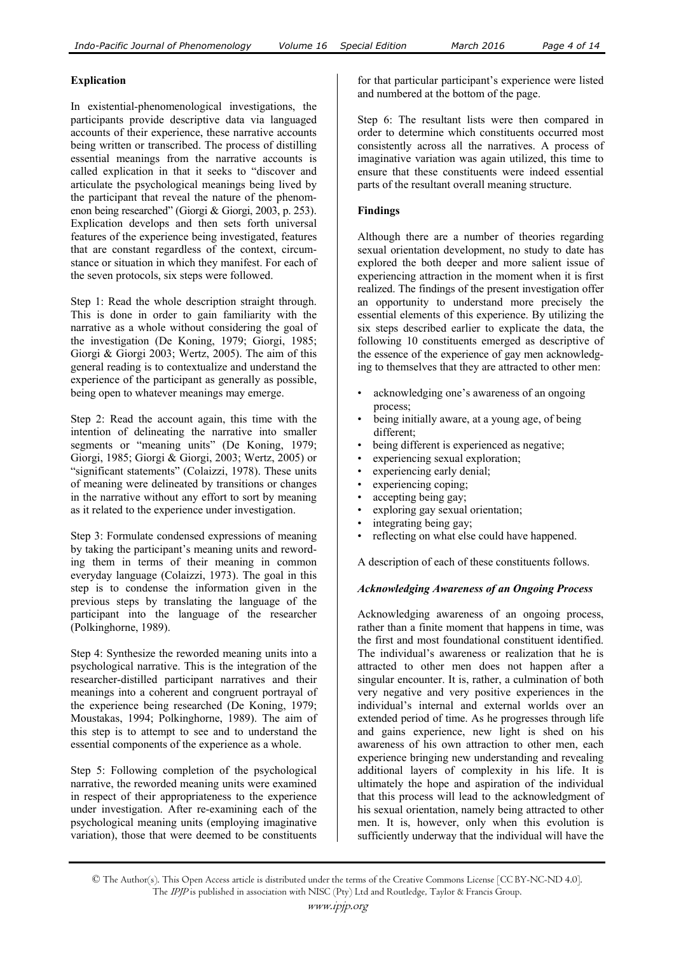# **Explication**

In existential-phenomenological investigations, the participants provide descriptive data via languaged accounts of their experience, these narrative accounts being written or transcribed. The process of distilling essential meanings from the narrative accounts is called explication in that it seeks to "discover and articulate the psychological meanings being lived by the participant that reveal the nature of the phenomenon being researched" (Giorgi & Giorgi, 2003, p. 253). Explication develops and then sets forth universal features of the experience being investigated, features that are constant regardless of the context, circumstance or situation in which they manifest. For each of the seven protocols, six steps were followed.

Step 1: Read the whole description straight through. This is done in order to gain familiarity with the narrative as a whole without considering the goal of the investigation (De Koning, 1979; Giorgi, 1985; Giorgi & Giorgi 2003; Wertz, 2005). The aim of this general reading is to contextualize and understand the experience of the participant as generally as possible, being open to whatever meanings may emerge.

Step 2: Read the account again, this time with the intention of delineating the narrative into smaller segments or "meaning units" (De Koning, 1979; Giorgi, 1985; Giorgi & Giorgi, 2003; Wertz, 2005) or "significant statements" (Colaizzi, 1978). These units of meaning were delineated by transitions or changes in the narrative without any effort to sort by meaning as it related to the experience under investigation.

Step 3: Formulate condensed expressions of meaning by taking the participant's meaning units and rewording them in terms of their meaning in common everyday language (Colaizzi, 1973). The goal in this step is to condense the information given in the previous steps by translating the language of the participant into the language of the researcher (Polkinghorne, 1989).

Step 4: Synthesize the reworded meaning units into a psychological narrative. This is the integration of the researcher-distilled participant narratives and their meanings into a coherent and congruent portrayal of the experience being researched (De Koning, 1979; Moustakas, 1994; Polkinghorne, 1989). The aim of this step is to attempt to see and to understand the essential components of the experience as a whole.

Step 5: Following completion of the psychological narrative, the reworded meaning units were examined in respect of their appropriateness to the experience under investigation. After re-examining each of the psychological meaning units (employing imaginative variation), those that were deemed to be constituents for that particular participant's experience were listed and numbered at the bottom of the page.

Step 6: The resultant lists were then compared in order to determine which constituents occurred most consistently across all the narratives. A process of imaginative variation was again utilized, this time to ensure that these constituents were indeed essential parts of the resultant overall meaning structure.

#### **Findings**

Although there are a number of theories regarding sexual orientation development, no study to date has explored the both deeper and more salient issue of experiencing attraction in the moment when it is first realized. The findings of the present investigation offer an opportunity to understand more precisely the essential elements of this experience. By utilizing the six steps described earlier to explicate the data, the following 10 constituents emerged as descriptive of the essence of the experience of gay men acknowledging to themselves that they are attracted to other men:

- acknowledging one's awareness of an ongoing process;
- being initially aware, at a young age, of being different;
- being different is experienced as negative;
- experiencing sexual exploration;
- experiencing early denial;
- experiencing coping;
- accepting being gay;
- exploring gay sexual orientation;
- integrating being gay;
- reflecting on what else could have happened.

A description of each of these constituents follows.

# *Acknowledging Awareness of an Ongoing Process*

Acknowledging awareness of an ongoing process, rather than a finite moment that happens in time, was the first and most foundational constituent identified. The individual's awareness or realization that he is attracted to other men does not happen after a singular encounter. It is, rather, a culmination of both very negative and very positive experiences in the individual's internal and external worlds over an extended period of time. As he progresses through life and gains experience, new light is shed on his awareness of his own attraction to other men, each experience bringing new understanding and revealing additional layers of complexity in his life. It is ultimately the hope and aspiration of the individual that this process will lead to the acknowledgment of his sexual orientation, namely being attracted to other men. It is, however, only when this evolution is sufficiently underway that the individual will have the

<sup>©</sup> The Author(s). This Open Access article is distributed under the terms of the Creative Commons License [CC BY-NC-ND 4.0]. The  $IDP$  is published in association with NISC (Pty) Ltd and Routledge, Taylor & Francis Group.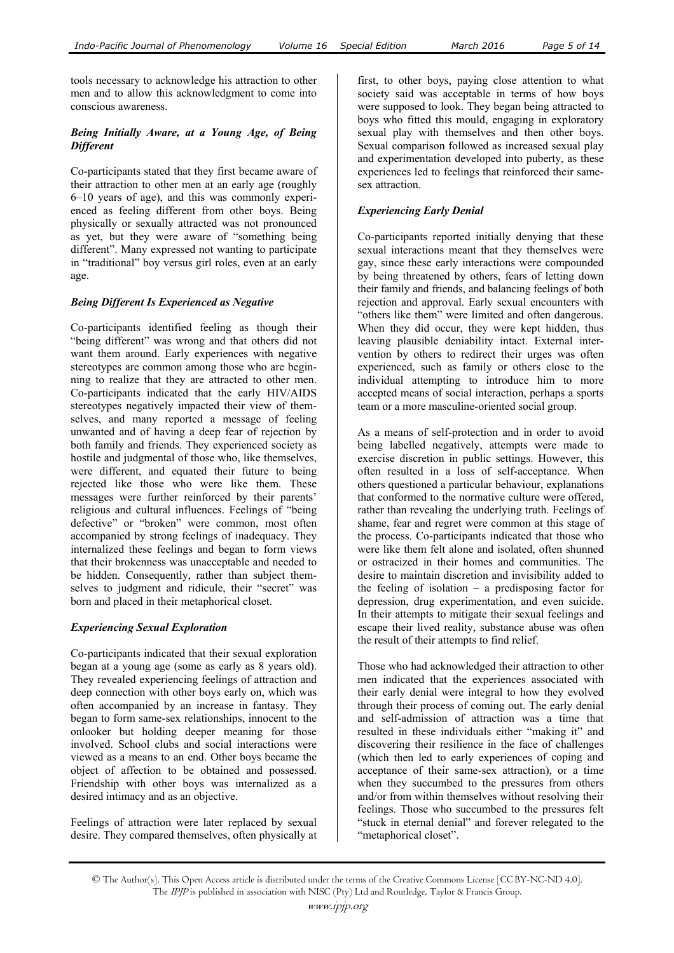tools necessary to acknowledge his attraction to other men and to allow this acknowledgment to come into conscious awareness.

### *Being Initially Aware, at a Young Age, of Being Different*

Co-participants stated that they first became aware of their attraction to other men at an early age (roughly 6–10 years of age), and this was commonly experienced as feeling different from other boys. Being physically or sexually attracted was not pronounced as yet, but they were aware of "something being different". Many expressed not wanting to participate in "traditional" boy versus girl roles, even at an early age.

# *Being Different Is Experienced as Negative*

Co-participants identified feeling as though their "being different" was wrong and that others did not want them around. Early experiences with negative stereotypes are common among those who are beginning to realize that they are attracted to other men. Co-participants indicated that the early HIV/AIDS stereotypes negatively impacted their view of themselves, and many reported a message of feeling unwanted and of having a deep fear of rejection by both family and friends. They experienced society as hostile and judgmental of those who, like themselves, were different, and equated their future to being rejected like those who were like them. These messages were further reinforced by their parents' religious and cultural influences. Feelings of "being defective" or "broken" were common, most often accompanied by strong feelings of inadequacy. They internalized these feelings and began to form views that their brokenness was unacceptable and needed to be hidden. Consequently, rather than subject themselves to judgment and ridicule, their "secret" was born and placed in their metaphorical closet.

# *Experiencing Sexual Exploration*

Co-participants indicated that their sexual exploration began at a young age (some as early as 8 years old). They revealed experiencing feelings of attraction and deep connection with other boys early on, which was often accompanied by an increase in fantasy. They began to form same-sex relationships, innocent to the onlooker but holding deeper meaning for those involved. School clubs and social interactions were viewed as a means to an end. Other boys became the object of affection to be obtained and possessed. Friendship with other boys was internalized as a desired intimacy and as an objective.

Feelings of attraction were later replaced by sexual desire. They compared themselves, often physically at first, to other boys, paying close attention to what society said was acceptable in terms of how boys were supposed to look. They began being attracted to boys who fitted this mould, engaging in exploratory sexual play with themselves and then other boys. Sexual comparison followed as increased sexual play and experimentation developed into puberty, as these experiences led to feelings that reinforced their samesex attraction.

### *Experiencing Early Denial*

Co-participants reported initially denying that these sexual interactions meant that they themselves were gay, since these early interactions were compounded by being threatened by others, fears of letting down their family and friends, and balancing feelings of both rejection and approval. Early sexual encounters with "others like them" were limited and often dangerous. When they did occur, they were kept hidden, thus leaving plausible deniability intact. External intervention by others to redirect their urges was often experienced, such as family or others close to the individual attempting to introduce him to more accepted means of social interaction, perhaps a sports team or a more masculine-oriented social group.

As a means of self-protection and in order to avoid being labelled negatively, attempts were made to exercise discretion in public settings. However, this often resulted in a loss of self-acceptance. When others questioned a particular behaviour, explanations that conformed to the normative culture were offered, rather than revealing the underlying truth. Feelings of shame, fear and regret were common at this stage of the process. Co-participants indicated that those who were like them felt alone and isolated, often shunned or ostracized in their homes and communities. The desire to maintain discretion and invisibility added to the feeling of isolation – a predisposing factor for depression, drug experimentation, and even suicide. In their attempts to mitigate their sexual feelings and escape their lived reality, substance abuse was often the result of their attempts to find relief.

Those who had acknowledged their attraction to other men indicated that the experiences associated with their early denial were integral to how they evolved through their process of coming out. The early denial and self-admission of attraction was a time that resulted in these individuals either "making it" and discovering their resilience in the face of challenges (which then led to early experiences of coping and acceptance of their same-sex attraction), or a time when they succumbed to the pressures from others and/or from within themselves without resolving their feelings. Those who succumbed to the pressures felt "stuck in eternal denial" and forever relegated to the "metaphorical closet".

<sup>©</sup> The Author(s). This Open Access article is distributed under the terms of the Creative Commons License [CC BY-NC-ND 4.0]. The  $IDP$  is published in association with NISC (Pty) Ltd and Routledge, Taylor & Francis Group.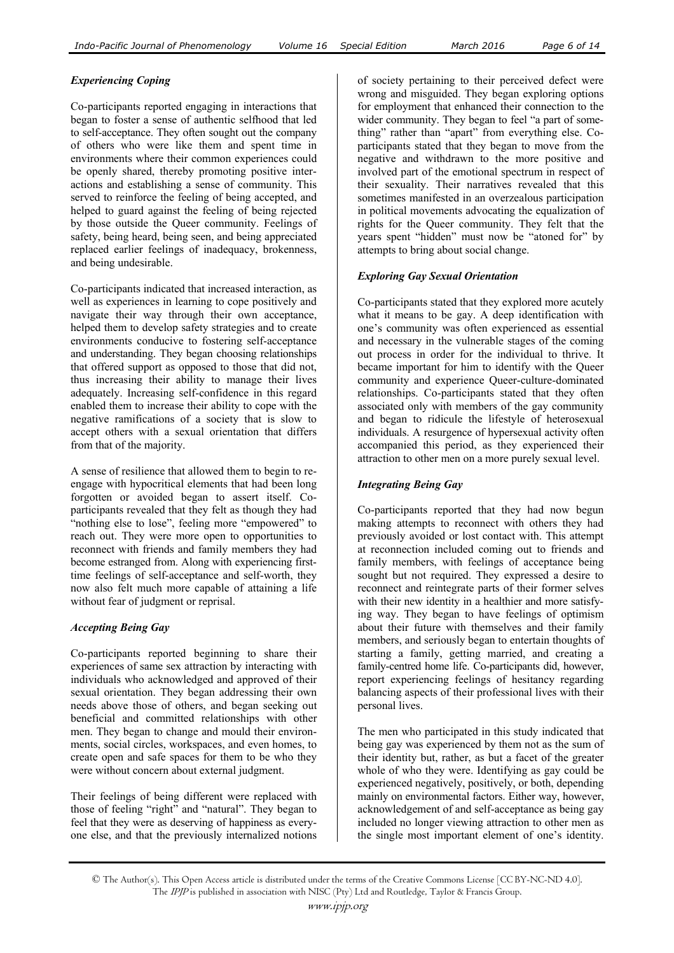Co-participants reported engaging in interactions that began to foster a sense of authentic selfhood that led to self-acceptance. They often sought out the company of others who were like them and spent time in environments where their common experiences could be openly shared, thereby promoting positive interactions and establishing a sense of community. This served to reinforce the feeling of being accepted, and helped to guard against the feeling of being rejected by those outside the Queer community. Feelings of safety, being heard, being seen, and being appreciated replaced earlier feelings of inadequacy, brokenness, and being undesirable.

Co-participants indicated that increased interaction, as well as experiences in learning to cope positively and navigate their way through their own acceptance, helped them to develop safety strategies and to create environments conducive to fostering self-acceptance and understanding. They began choosing relationships that offered support as opposed to those that did not, thus increasing their ability to manage their lives adequately. Increasing self-confidence in this regard enabled them to increase their ability to cope with the negative ramifications of a society that is slow to accept others with a sexual orientation that differs from that of the majority.

A sense of resilience that allowed them to begin to reengage with hypocritical elements that had been long forgotten or avoided began to assert itself. Coparticipants revealed that they felt as though they had "nothing else to lose", feeling more "empowered" to reach out. They were more open to opportunities to reconnect with friends and family members they had become estranged from. Along with experiencing firsttime feelings of self-acceptance and self-worth, they now also felt much more capable of attaining a life without fear of judgment or reprisal.

# *Accepting Being Gay*

Co-participants reported beginning to share their experiences of same sex attraction by interacting with individuals who acknowledged and approved of their sexual orientation. They began addressing their own needs above those of others, and began seeking out beneficial and committed relationships with other men. They began to change and mould their environments, social circles, workspaces, and even homes, to create open and safe spaces for them to be who they were without concern about external judgment.

Their feelings of being different were replaced with those of feeling "right" and "natural". They began to feel that they were as deserving of happiness as everyone else, and that the previously internalized notions of society pertaining to their perceived defect were wrong and misguided. They began exploring options for employment that enhanced their connection to the wider community. They began to feel "a part of something" rather than "apart" from everything else. Coparticipants stated that they began to move from the negative and withdrawn to the more positive and involved part of the emotional spectrum in respect of their sexuality. Their narratives revealed that this sometimes manifested in an overzealous participation in political movements advocating the equalization of rights for the Queer community. They felt that the years spent "hidden" must now be "atoned for" by attempts to bring about social change.

### *Exploring Gay Sexual Orientation*

Co-participants stated that they explored more acutely what it means to be gay. A deep identification with one's community was often experienced as essential and necessary in the vulnerable stages of the coming out process in order for the individual to thrive. It became important for him to identify with the Queer community and experience Queer-culture-dominated relationships. Co-participants stated that they often associated only with members of the gay community and began to ridicule the lifestyle of heterosexual individuals. A resurgence of hypersexual activity often accompanied this period, as they experienced their attraction to other men on a more purely sexual level.

#### *Integrating Being Gay*

Co-participants reported that they had now begun making attempts to reconnect with others they had previously avoided or lost contact with. This attempt at reconnection included coming out to friends and family members, with feelings of acceptance being sought but not required. They expressed a desire to reconnect and reintegrate parts of their former selves with their new identity in a healthier and more satisfying way. They began to have feelings of optimism about their future with themselves and their family members, and seriously began to entertain thoughts of starting a family, getting married, and creating a family-centred home life. Co-participants did, however, report experiencing feelings of hesitancy regarding balancing aspects of their professional lives with their personal lives.

The men who participated in this study indicated that being gay was experienced by them not as the sum of their identity but, rather, as but a facet of the greater whole of who they were. Identifying as gay could be experienced negatively, positively, or both, depending mainly on environmental factors. Either way, however, acknowledgement of and self-acceptance as being gay included no longer viewing attraction to other men as the single most important element of one's identity.

<sup>©</sup> The Author(s). This Open Access article is distributed under the terms of the Creative Commons License [CC BY-NC-ND 4.0]. The IPJP is published in association with NISC (Pty) Ltd and Routledge, Taylor & Francis Group.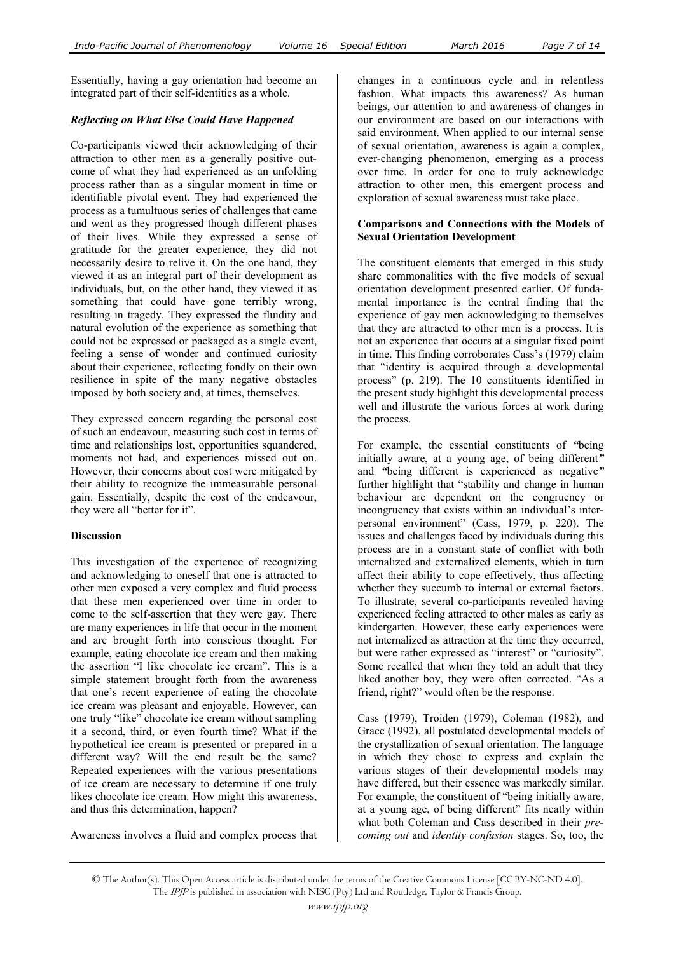Essentially, having a gay orientation had become an integrated part of their self-identities as a whole.

#### *Reflecting on What Else Could Have Happened*

Co-participants viewed their acknowledging of their attraction to other men as a generally positive outcome of what they had experienced as an unfolding process rather than as a singular moment in time or identifiable pivotal event. They had experienced the process as a tumultuous series of challenges that came and went as they progressed though different phases of their lives. While they expressed a sense of gratitude for the greater experience, they did not necessarily desire to relive it. On the one hand, they viewed it as an integral part of their development as individuals, but, on the other hand, they viewed it as something that could have gone terribly wrong, resulting in tragedy. They expressed the fluidity and natural evolution of the experience as something that could not be expressed or packaged as a single event, feeling a sense of wonder and continued curiosity about their experience, reflecting fondly on their own resilience in spite of the many negative obstacles imposed by both society and, at times, themselves.

They expressed concern regarding the personal cost of such an endeavour, measuring such cost in terms of time and relationships lost, opportunities squandered, moments not had, and experiences missed out on. However, their concerns about cost were mitigated by their ability to recognize the immeasurable personal gain. Essentially, despite the cost of the endeavour, they were all "better for it".

#### **Discussion**

This investigation of the experience of recognizing and acknowledging to oneself that one is attracted to other men exposed a very complex and fluid process that these men experienced over time in order to come to the self-assertion that they were gay. There are many experiences in life that occur in the moment and are brought forth into conscious thought. For example, eating chocolate ice cream and then making the assertion "I like chocolate ice cream". This is a simple statement brought forth from the awareness that one's recent experience of eating the chocolate ice cream was pleasant and enjoyable. However, can one truly "like" chocolate ice cream without sampling it a second, third, or even fourth time? What if the hypothetical ice cream is presented or prepared in a different way? Will the end result be the same? Repeated experiences with the various presentations of ice cream are necessary to determine if one truly likes chocolate ice cream. How might this awareness, and thus this determination, happen?

Awareness involves a fluid and complex process that

changes in a continuous cycle and in relentless fashion. What impacts this awareness? As human beings, our attention to and awareness of changes in our environment are based on our interactions with said environment. When applied to our internal sense of sexual orientation, awareness is again a complex, ever-changing phenomenon, emerging as a process over time. In order for one to truly acknowledge attraction to other men, this emergent process and exploration of sexual awareness must take place.

#### **Comparisons and Connections with the Models of Sexual Orientation Development**

The constituent elements that emerged in this study share commonalities with the five models of sexual orientation development presented earlier. Of fundamental importance is the central finding that the experience of gay men acknowledging to themselves that they are attracted to other men is a process. It is not an experience that occurs at a singular fixed point in time. This finding corroborates Cass's (1979) claim that "identity is acquired through a developmental process" (p. 219). The 10 constituents identified in the present study highlight this developmental process well and illustrate the various forces at work during the process.

For example, the essential constituents of *"*being initially aware, at a young age, of being different*"* and *"*being different is experienced as negative*"* further highlight that "stability and change in human behaviour are dependent on the congruency or incongruency that exists within an individual's interpersonal environment" (Cass, 1979, p. 220). The issues and challenges faced by individuals during this process are in a constant state of conflict with both internalized and externalized elements, which in turn affect their ability to cope effectively, thus affecting whether they succumb to internal or external factors. To illustrate, several co-participants revealed having experienced feeling attracted to other males as early as kindergarten. However, these early experiences were not internalized as attraction at the time they occurred, but were rather expressed as "interest" or "curiosity". Some recalled that when they told an adult that they liked another boy, they were often corrected. "As a friend, right?" would often be the response.

Cass (1979), Troiden (1979), Coleman (1982), and Grace (1992), all postulated developmental models of the crystallization of sexual orientation. The language in which they chose to express and explain the various stages of their developmental models may have differed, but their essence was markedly similar. For example, the constituent of "being initially aware, at a young age, of being different" fits neatly within what both Coleman and Cass described in their *precoming out* and *identity confusion* stages. So, too, the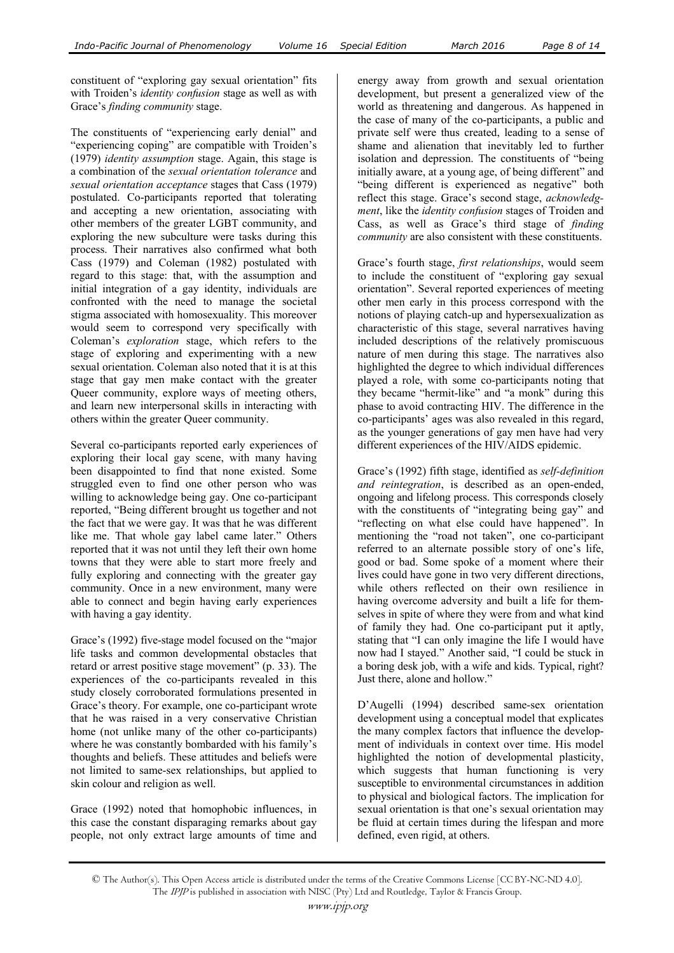constituent of "exploring gay sexual orientation" fits with Troiden's *identity confusion* stage as well as with Grace's *finding community* stage.

The constituents of "experiencing early denial" and "experiencing coping" are compatible with Troiden's (1979) *identity assumption* stage. Again, this stage is a combination of the *sexual orientation tolerance* and *sexual orientation acceptance* stages that Cass (1979) postulated. Co-participants reported that tolerating and accepting a new orientation, associating with other members of the greater LGBT community, and exploring the new subculture were tasks during this process. Their narratives also confirmed what both Cass (1979) and Coleman (1982) postulated with regard to this stage: that, with the assumption and initial integration of a gay identity, individuals are confronted with the need to manage the societal stigma associated with homosexuality. This moreover would seem to correspond very specifically with Coleman's *exploration* stage, which refers to the stage of exploring and experimenting with a new sexual orientation. Coleman also noted that it is at this stage that gay men make contact with the greater Queer community, explore ways of meeting others, and learn new interpersonal skills in interacting with others within the greater Queer community.

Several co-participants reported early experiences of exploring their local gay scene, with many having been disappointed to find that none existed. Some struggled even to find one other person who was willing to acknowledge being gay. One co-participant reported, "Being different brought us together and not the fact that we were gay. It was that he was different like me. That whole gay label came later." Others reported that it was not until they left their own home towns that they were able to start more freely and fully exploring and connecting with the greater gay community. Once in a new environment, many were able to connect and begin having early experiences with having a gay identity.

Grace's (1992) five-stage model focused on the "major life tasks and common developmental obstacles that retard or arrest positive stage movement" (p. 33). The experiences of the co-participants revealed in this study closely corroborated formulations presented in Grace's theory. For example, one co-participant wrote that he was raised in a very conservative Christian home (not unlike many of the other co-participants) where he was constantly bombarded with his family's thoughts and beliefs. These attitudes and beliefs were not limited to same-sex relationships, but applied to skin colour and religion as well.

Grace (1992) noted that homophobic influences, in this case the constant disparaging remarks about gay people, not only extract large amounts of time and energy away from growth and sexual orientation development, but present a generalized view of the world as threatening and dangerous. As happened in the case of many of the co-participants, a public and private self were thus created, leading to a sense of shame and alienation that inevitably led to further isolation and depression. The constituents of "being initially aware, at a young age, of being different" and "being different is experienced as negative" both reflect this stage. Grace's second stage, *acknowledgment*, like the *identity confusion* stages of Troiden and Cass, as well as Grace's third stage of *finding community* are also consistent with these constituents.

Grace's fourth stage, *first relationships*, would seem to include the constituent of "exploring gay sexual orientation". Several reported experiences of meeting other men early in this process correspond with the notions of playing catch-up and hypersexualization as characteristic of this stage, several narratives having included descriptions of the relatively promiscuous nature of men during this stage. The narratives also highlighted the degree to which individual differences played a role, with some co-participants noting that they became "hermit-like" and "a monk" during this phase to avoid contracting HIV. The difference in the co-participants' ages was also revealed in this regard, as the younger generations of gay men have had very different experiences of the HIV/AIDS epidemic.

Grace's (1992) fifth stage, identified as *self-definition and reintegration*, is described as an open-ended, ongoing and lifelong process. This corresponds closely with the constituents of "integrating being gay" and "reflecting on what else could have happened". In mentioning the "road not taken", one co-participant referred to an alternate possible story of one's life, good or bad. Some spoke of a moment where their lives could have gone in two very different directions, while others reflected on their own resilience in having overcome adversity and built a life for themselves in spite of where they were from and what kind of family they had. One co-participant put it aptly, stating that "I can only imagine the life I would have now had I stayed." Another said, "I could be stuck in a boring desk job, with a wife and kids. Typical, right? Just there, alone and hollow."

D'Augelli (1994) described same-sex orientation development using a conceptual model that explicates the many complex factors that influence the development of individuals in context over time. His model highlighted the notion of developmental plasticity, which suggests that human functioning is very susceptible to environmental circumstances in addition to physical and biological factors. The implication for sexual orientation is that one's sexual orientation may be fluid at certain times during the lifespan and more defined, even rigid, at others.

<sup>©</sup> The Author(s). This Open Access article is distributed under the terms of the Creative Commons License [CC BY-NC-ND 4.0]. The IPJP is published in association with NISC (Pty) Ltd and Routledge, Taylor & Francis Group.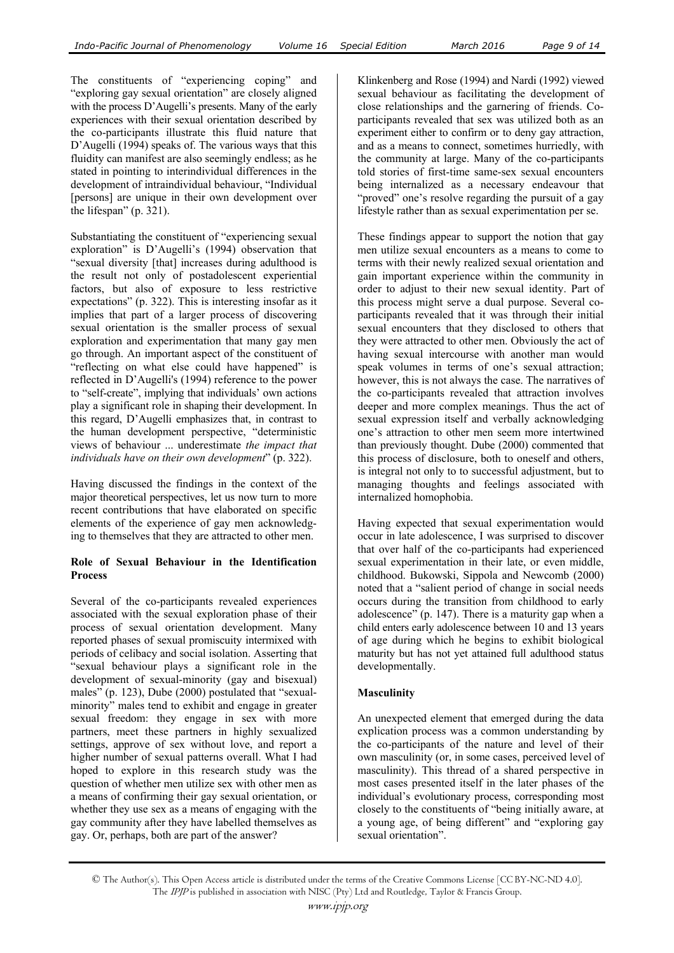The constituents of "experiencing coping" and "exploring gay sexual orientation" are closely aligned with the process D'Augelli's presents. Many of the early experiences with their sexual orientation described by the co-participants illustrate this fluid nature that D'Augelli (1994) speaks of. The various ways that this fluidity can manifest are also seemingly endless; as he stated in pointing to interindividual differences in the development of intraindividual behaviour, "Individual [persons] are unique in their own development over the lifespan" (p. 321).

Substantiating the constituent of "experiencing sexual exploration" is D'Augelli's (1994) observation that "sexual diversity [that] increases during adulthood is the result not only of postadolescent experiential factors, but also of exposure to less restrictive expectations" (p. 322). This is interesting insofar as it implies that part of a larger process of discovering sexual orientation is the smaller process of sexual exploration and experimentation that many gay men go through. An important aspect of the constituent of "reflecting on what else could have happened" is reflected in D'Augelli's (1994) reference to the power to "self-create", implying that individuals' own actions play a significant role in shaping their development. In this regard, D'Augelli emphasizes that, in contrast to the human development perspective, "deterministic views of behaviour ... underestimate *the impact that individuals have on their own development*" (p. 322).

Having discussed the findings in the context of the major theoretical perspectives, let us now turn to more recent contributions that have elaborated on specific elements of the experience of gay men acknowledging to themselves that they are attracted to other men.

### **Role of Sexual Behaviour in the Identification Process**

Several of the co-participants revealed experiences associated with the sexual exploration phase of their process of sexual orientation development. Many reported phases of sexual promiscuity intermixed with periods of celibacy and social isolation. Asserting that "sexual behaviour plays a significant role in the development of sexual-minority (gay and bisexual) males" (p. 123), Dube (2000) postulated that "sexualminority" males tend to exhibit and engage in greater sexual freedom: they engage in sex with more partners, meet these partners in highly sexualized settings, approve of sex without love, and report a higher number of sexual patterns overall. What I had hoped to explore in this research study was the question of whether men utilize sex with other men as a means of confirming their gay sexual orientation, or whether they use sex as a means of engaging with the gay community after they have labelled themselves as gay. Or, perhaps, both are part of the answer?

Klinkenberg and Rose (1994) and Nardi (1992) viewed sexual behaviour as facilitating the development of close relationships and the garnering of friends. Coparticipants revealed that sex was utilized both as an experiment either to confirm or to deny gay attraction, and as a means to connect, sometimes hurriedly, with the community at large. Many of the co-participants told stories of first-time same-sex sexual encounters being internalized as a necessary endeavour that "proved" one's resolve regarding the pursuit of a gay lifestyle rather than as sexual experimentation per se.

These findings appear to support the notion that gay men utilize sexual encounters as a means to come to terms with their newly realized sexual orientation and gain important experience within the community in order to adjust to their new sexual identity. Part of this process might serve a dual purpose. Several coparticipants revealed that it was through their initial sexual encounters that they disclosed to others that they were attracted to other men. Obviously the act of having sexual intercourse with another man would speak volumes in terms of one's sexual attraction; however, this is not always the case. The narratives of the co-participants revealed that attraction involves deeper and more complex meanings. Thus the act of sexual expression itself and verbally acknowledging one's attraction to other men seem more intertwined than previously thought. Dube (2000) commented that this process of disclosure, both to oneself and others, is integral not only to to successful adjustment, but to managing thoughts and feelings associated with internalized homophobia.

Having expected that sexual experimentation would occur in late adolescence, I was surprised to discover that over half of the co-participants had experienced sexual experimentation in their late, or even middle, childhood. Bukowski, Sippola and Newcomb (2000) noted that a "salient period of change in social needs occurs during the transition from childhood to early adolescence" (p. 147). There is a maturity gap when a child enters early adolescence between 10 and 13 years of age during which he begins to exhibit biological maturity but has not yet attained full adulthood status developmentally.

# **Masculinity**

An unexpected element that emerged during the data explication process was a common understanding by the co-participants of the nature and level of their own masculinity (or, in some cases, perceived level of masculinity). This thread of a shared perspective in most cases presented itself in the later phases of the individual's evolutionary process, corresponding most closely to the constituents of "being initially aware, at a young age, of being different" and "exploring gay sexual orientation".

<sup>©</sup> The Author(s). This Open Access article is distributed under the terms of the Creative Commons License [CC BY-NC-ND 4.0]. The IPJP is published in association with NISC (Pty) Ltd and Routledge, Taylor & Francis Group.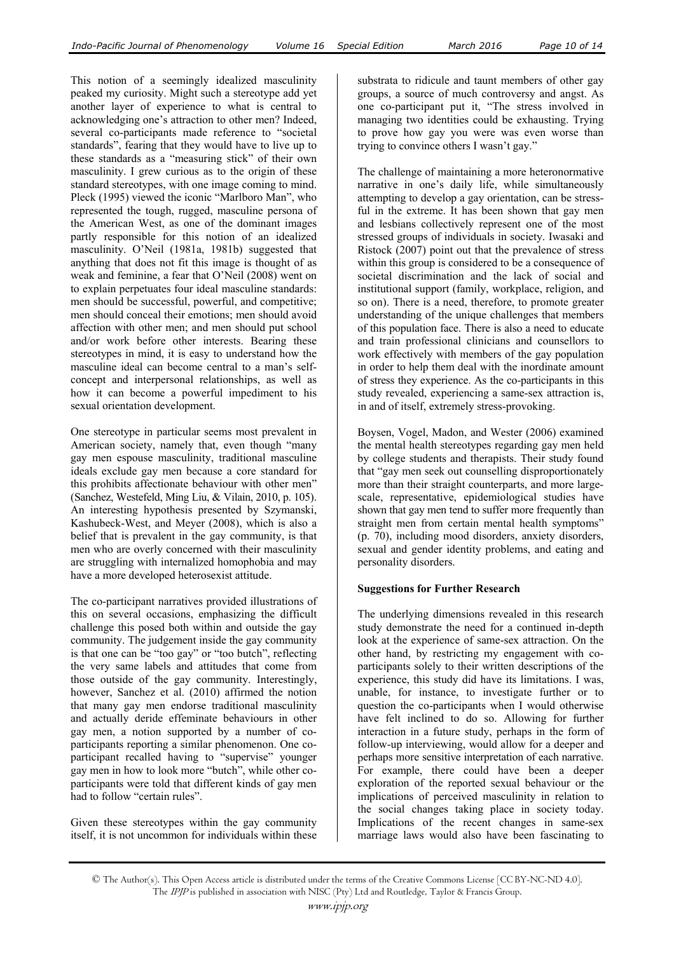This notion of a seemingly idealized masculinity peaked my curiosity. Might such a stereotype add yet another layer of experience to what is central to acknowledging one's attraction to other men? Indeed, several co-participants made reference to "societal standards", fearing that they would have to live up to these standards as a "measuring stick" of their own masculinity. I grew curious as to the origin of these standard stereotypes, with one image coming to mind. Pleck (1995) viewed the iconic "Marlboro Man", who represented the tough, rugged, masculine persona of the American West, as one of the dominant images partly responsible for this notion of an idealized masculinity. O'Neil (1981a, 1981b) suggested that anything that does not fit this image is thought of as weak and feminine, a fear that O'Neil (2008) went on to explain perpetuates four ideal masculine standards: men should be successful, powerful, and competitive; men should conceal their emotions; men should avoid affection with other men; and men should put school and/or work before other interests. Bearing these stereotypes in mind, it is easy to understand how the masculine ideal can become central to a man's selfconcept and interpersonal relationships, as well as how it can become a powerful impediment to his sexual orientation development.

One stereotype in particular seems most prevalent in American society, namely that, even though "many gay men espouse masculinity, traditional masculine ideals exclude gay men because a core standard for this prohibits affectionate behaviour with other men" (Sanchez, Westefeld, Ming Liu, & Vilain, 2010, p. 105). An interesting hypothesis presented by Szymanski, Kashubeck-West, and Meyer (2008), which is also a belief that is prevalent in the gay community, is that men who are overly concerned with their masculinity are struggling with internalized homophobia and may have a more developed heterosexist attitude.

The co-participant narratives provided illustrations of this on several occasions, emphasizing the difficult challenge this posed both within and outside the gay community. The judgement inside the gay community is that one can be "too gay" or "too butch", reflecting the very same labels and attitudes that come from those outside of the gay community. Interestingly, however, Sanchez et al. (2010) affirmed the notion that many gay men endorse traditional masculinity and actually deride effeminate behaviours in other gay men, a notion supported by a number of coparticipants reporting a similar phenomenon. One coparticipant recalled having to "supervise" younger gay men in how to look more "butch", while other coparticipants were told that different kinds of gay men had to follow "certain rules".

Given these stereotypes within the gay community itself, it is not uncommon for individuals within these substrata to ridicule and taunt members of other gay groups, a source of much controversy and angst. As one co-participant put it, "The stress involved in managing two identities could be exhausting. Trying to prove how gay you were was even worse than trying to convince others I wasn't gay."

The challenge of maintaining a more heteronormative narrative in one's daily life, while simultaneously attempting to develop a gay orientation, can be stressful in the extreme. It has been shown that gay men and lesbians collectively represent one of the most stressed groups of individuals in society. Iwasaki and Ristock (2007) point out that the prevalence of stress within this group is considered to be a consequence of societal discrimination and the lack of social and institutional support (family, workplace, religion, and so on). There is a need, therefore, to promote greater understanding of the unique challenges that members of this population face. There is also a need to educate and train professional clinicians and counsellors to work effectively with members of the gay population in order to help them deal with the inordinate amount of stress they experience. As the co-participants in this study revealed, experiencing a same-sex attraction is, in and of itself, extremely stress-provoking.

Boysen, Vogel, Madon, and Wester (2006) examined the mental health stereotypes regarding gay men held by college students and therapists. Their study found that "gay men seek out counselling disproportionately more than their straight counterparts, and more largescale, representative, epidemiological studies have shown that gay men tend to suffer more frequently than straight men from certain mental health symptoms" (p. 70), including mood disorders, anxiety disorders, sexual and gender identity problems, and eating and personality disorders.

#### **Suggestions for Further Research**

The underlying dimensions revealed in this research study demonstrate the need for a continued in-depth look at the experience of same-sex attraction. On the other hand, by restricting my engagement with coparticipants solely to their written descriptions of the experience, this study did have its limitations. I was, unable, for instance, to investigate further or to question the co-participants when I would otherwise have felt inclined to do so. Allowing for further interaction in a future study, perhaps in the form of follow-up interviewing, would allow for a deeper and perhaps more sensitive interpretation of each narrative. For example, there could have been a deeper exploration of the reported sexual behaviour or the implications of perceived masculinity in relation to the social changes taking place in society today. Implications of the recent changes in same-sex marriage laws would also have been fascinating to

<sup>©</sup> The Author(s). This Open Access article is distributed under the terms of the Creative Commons License [CC BY-NC-ND 4.0]. The IPJP is published in association with NISC (Pty) Ltd and Routledge, Taylor & Francis Group.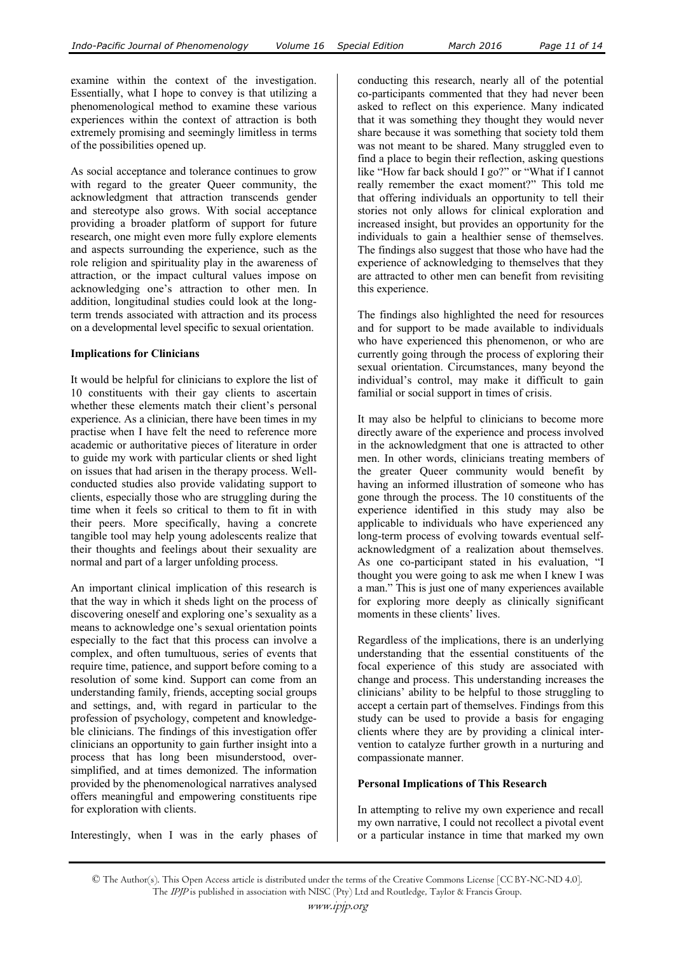examine within the context of the investigation. Essentially, what I hope to convey is that utilizing a phenomenological method to examine these various experiences within the context of attraction is both extremely promising and seemingly limitless in terms of the possibilities opened up.

As social acceptance and tolerance continues to grow with regard to the greater Queer community, the acknowledgment that attraction transcends gender and stereotype also grows. With social acceptance providing a broader platform of support for future research, one might even more fully explore elements and aspects surrounding the experience, such as the role religion and spirituality play in the awareness of attraction, or the impact cultural values impose on acknowledging one's attraction to other men. In addition, longitudinal studies could look at the longterm trends associated with attraction and its process on a developmental level specific to sexual orientation.

### **Implications for Clinicians**

It would be helpful for clinicians to explore the list of 10 constituents with their gay clients to ascertain whether these elements match their client's personal experience. As a clinician, there have been times in my practise when I have felt the need to reference more academic or authoritative pieces of literature in order to guide my work with particular clients or shed light on issues that had arisen in the therapy process. Wellconducted studies also provide validating support to clients, especially those who are struggling during the time when it feels so critical to them to fit in with their peers. More specifically, having a concrete tangible tool may help young adolescents realize that their thoughts and feelings about their sexuality are normal and part of a larger unfolding process.

An important clinical implication of this research is that the way in which it sheds light on the process of discovering oneself and exploring one's sexuality as a means to acknowledge one's sexual orientation points especially to the fact that this process can involve a complex, and often tumultuous, series of events that require time, patience, and support before coming to a resolution of some kind. Support can come from an understanding family, friends, accepting social groups and settings, and, with regard in particular to the profession of psychology, competent and knowledgeble clinicians. The findings of this investigation offer clinicians an opportunity to gain further insight into a process that has long been misunderstood, oversimplified, and at times demonized. The information provided by the phenomenological narratives analysed offers meaningful and empowering constituents ripe for exploration with clients.

Interestingly, when I was in the early phases of

conducting this research, nearly all of the potential co-participants commented that they had never been asked to reflect on this experience. Many indicated that it was something they thought they would never share because it was something that society told them was not meant to be shared. Many struggled even to find a place to begin their reflection, asking questions like "How far back should I go?" or "What if I cannot really remember the exact moment?" This told me that offering individuals an opportunity to tell their stories not only allows for clinical exploration and increased insight, but provides an opportunity for the individuals to gain a healthier sense of themselves. The findings also suggest that those who have had the experience of acknowledging to themselves that they are attracted to other men can benefit from revisiting this experience.

The findings also highlighted the need for resources and for support to be made available to individuals who have experienced this phenomenon, or who are currently going through the process of exploring their sexual orientation. Circumstances, many beyond the individual's control, may make it difficult to gain familial or social support in times of crisis.

It may also be helpful to clinicians to become more directly aware of the experience and process involved in the acknowledgment that one is attracted to other men. In other words, clinicians treating members of the greater Queer community would benefit by having an informed illustration of someone who has gone through the process. The 10 constituents of the experience identified in this study may also be applicable to individuals who have experienced any long-term process of evolving towards eventual selfacknowledgment of a realization about themselves. As one co-participant stated in his evaluation, "I thought you were going to ask me when I knew I was a man." This is just one of many experiences available for exploring more deeply as clinically significant moments in these clients' lives.

Regardless of the implications, there is an underlying understanding that the essential constituents of the focal experience of this study are associated with change and process. This understanding increases the clinicians' ability to be helpful to those struggling to accept a certain part of themselves. Findings from this study can be used to provide a basis for engaging clients where they are by providing a clinical intervention to catalyze further growth in a nurturing and compassionate manner.

# **Personal Implications of This Research**

In attempting to relive my own experience and recall my own narrative, I could not recollect a pivotal event or a particular instance in time that marked my own

© The Author(s). This Open Access article is distributed under the terms of the Creative Commons License [CC BY-NC-ND 4.0]. The IPJP is published in association with NISC (Pty) Ltd and Routledge, Taylor & Francis Group.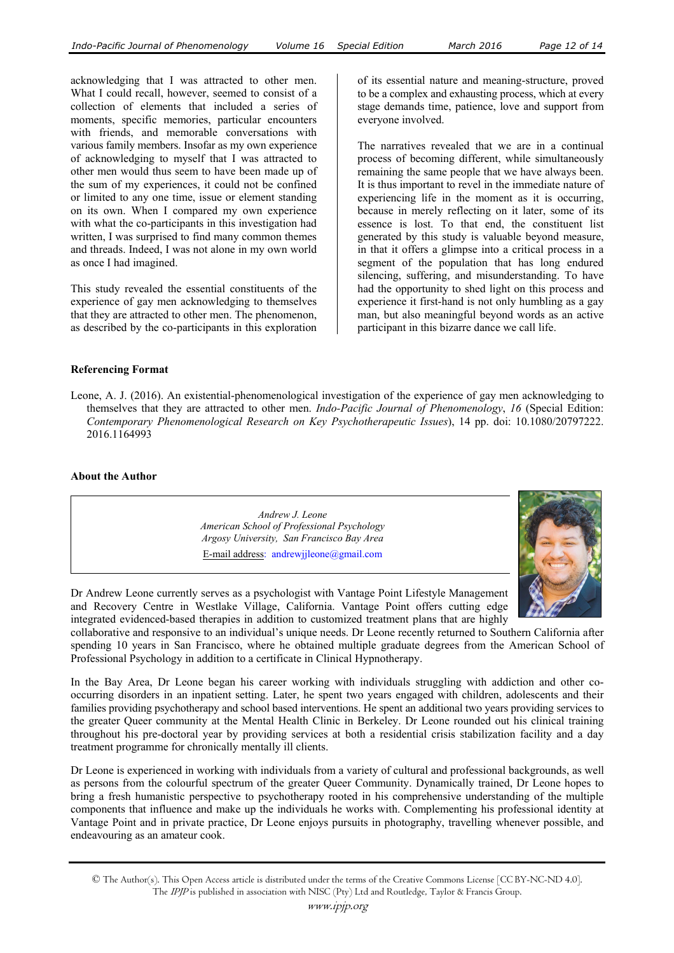acknowledging that I was attracted to other men. What I could recall, however, seemed to consist of a collection of elements that included a series of moments, specific memories, particular encounters with friends, and memorable conversations with various family members. Insofar as my own experience of acknowledging to myself that I was attracted to other men would thus seem to have been made up of the sum of my experiences, it could not be confined or limited to any one time, issue or element standing on its own. When I compared my own experience with what the co-participants in this investigation had written, I was surprised to find many common themes and threads. Indeed, I was not alone in my own world as once I had imagined.

This study revealed the essential constituents of the experience of gay men acknowledging to themselves that they are attracted to other men. The phenomenon, as described by the co-participants in this exploration of its essential nature and meaning-structure, proved to be a complex and exhausting process, which at every stage demands time, patience, love and support from everyone involved.

The narratives revealed that we are in a continual process of becoming different, while simultaneously remaining the same people that we have always been. It is thus important to revel in the immediate nature of experiencing life in the moment as it is occurring, because in merely reflecting on it later, some of its essence is lost. To that end, the constituent list generated by this study is valuable beyond measure, in that it offers a glimpse into a critical process in a segment of the population that has long endured silencing, suffering, and misunderstanding. To have had the opportunity to shed light on this process and experience it first-hand is not only humbling as a gay man, but also meaningful beyond words as an active participant in this bizarre dance we call life.

#### **Referencing Format**

Leone, A. J. (2016). An existential-phenomenological investigation of the experience of gay men acknowledging to themselves that they are attracted to other men. *Indo-Pacific Journal of Phenomenology*, *16* (Special Edition: *Contemporary Phenomenological Research on Key Psychotherapeutic Issues*), 14 pp. doi: 10.1080/20797222. 2016.1164993

### **About the Author**

*Andrew J. Leone American School of Professional Psychology Argosy University, San Francisco Bay Area*  E-mail address: andrewjjleone@gmail.com



Dr Andrew Leone currently serves as a psychologist with Vantage Point Lifestyle Management and Recovery Centre in Westlake Village, California. Vantage Point offers cutting edge integrated evidenced-based therapies in addition to customized treatment plans that are highly

collaborative and responsive to an individual's unique needs. Dr Leone recently returned to Southern California after spending 10 years in San Francisco, where he obtained multiple graduate degrees from the American School of Professional Psychology in addition to a certificate in Clinical Hypnotherapy.

In the Bay Area, Dr Leone began his career working with individuals struggling with addiction and other cooccurring disorders in an inpatient setting. Later, he spent two years engaged with children, adolescents and their families providing psychotherapy and school based interventions. He spent an additional two years providing services to the greater Queer community at the Mental Health Clinic in Berkeley. Dr Leone rounded out his clinical training throughout his pre-doctoral year by providing services at both a residential crisis stabilization facility and a day treatment programme for chronically mentally ill clients.

Dr Leone is experienced in working with individuals from a variety of cultural and professional backgrounds, as well as persons from the colourful spectrum of the greater Queer Community. Dynamically trained, Dr Leone hopes to bring a fresh humanistic perspective to psychotherapy rooted in his comprehensive understanding of the multiple components that influence and make up the individuals he works with. Complementing his professional identity at Vantage Point and in private practice, Dr Leone enjoys pursuits in photography, travelling whenever possible, and endeavouring as an amateur cook.

<sup>©</sup> The Author(s). This Open Access article is distributed under the terms of the Creative Commons License [CC BY-NC-ND 4.0]. The IPJP is published in association with NISC (Pty) Ltd and Routledge, Taylor & Francis Group.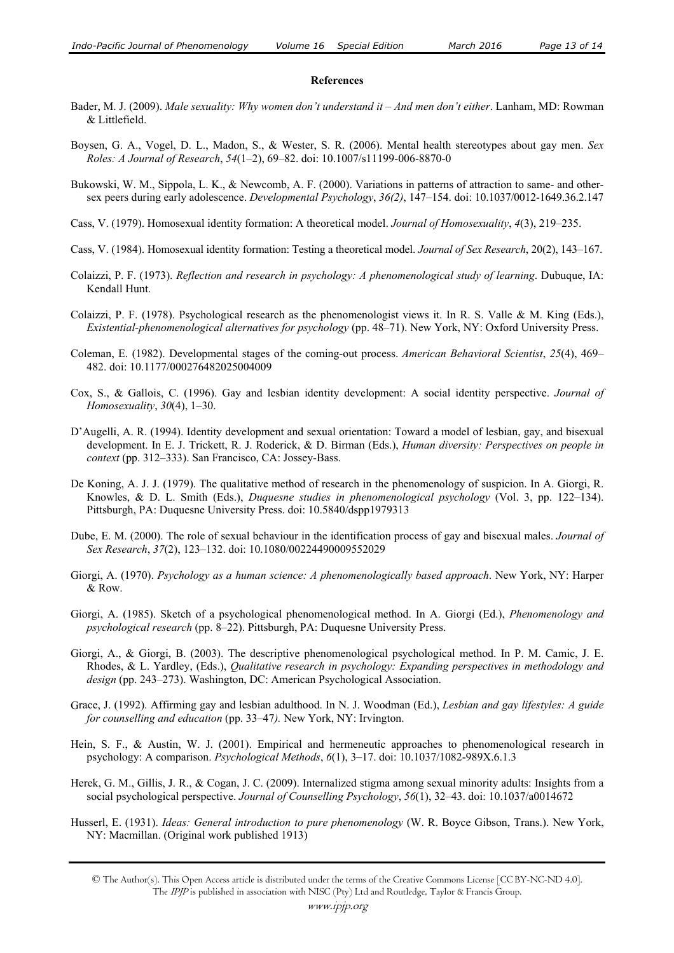#### **References**

- Bader, M. J. (2009). *Male sexuality: Why women don't understand it And men don't either*. Lanham, MD: Rowman & Littlefield.
- Boysen, G. A., Vogel, D. L., Madon, S., & Wester, S. R. (2006). Mental health stereotypes about gay men. *Sex Roles: A Journal of Research*, *54*(1–2), 69–82. doi: 10.1007/s11199-006-8870-0
- Bukowski, W. M., Sippola, L. K., & Newcomb, A. F. (2000). Variations in patterns of attraction to same- and othersex peers during early adolescence. *Developmental Psychology*, *36(2)*, 147–154. doi: 10.1037/0012-1649.36.2.147
- Cass, V. (1979). Homosexual identity formation: A theoretical model. *Journal of Homosexuality*, *4*(3), 219–235.
- Cass, V. (1984). Homosexual identity formation: Testing a theoretical model. *Journal of Sex Research*, 20(2), 143–167.
- Colaizzi, P. F. (1973). *Reflection and research in psychology: A phenomenological study of learning*. Dubuque, IA: Kendall Hunt.
- Colaizzi, P. F. (1978). Psychological research as the phenomenologist views it. In R. S. Valle & M. King (Eds.), *Existential-phenomenological alternatives for psychology* (pp. 48–71). New York, NY: Oxford University Press.
- Coleman, E. (1982). Developmental stages of the coming-out process. *American Behavioral Scientist*, *25*(4), 469– 482. doi: 10.1177/000276482025004009
- Cox, S., & Gallois, C. (1996). Gay and lesbian identity development: A social identity perspective. *Journal of Homosexuality*, *30*(4), 1–30.
- D'Augelli, A. R. (1994). Identity development and sexual orientation: Toward a model of lesbian, gay, and bisexual development. In E. J. Trickett, R. J. Roderick, & D. Birman (Eds.), *Human diversity: Perspectives on people in context* (pp. 312–333). San Francisco, CA: Jossey-Bass.
- De Koning, A. J. J. (1979). The qualitative method of research in the phenomenology of suspicion. In A. Giorgi, R. Knowles, & D. L. Smith (Eds.), *Duquesne studies in phenomenological psychology* (Vol. 3, pp. 122–134). Pittsburgh, PA: Duquesne University Press. doi: 10.5840/dspp1979313
- Dube, E. M. (2000). The role of sexual behaviour in the identification process of gay and bisexual males. *Journal of Sex Research*, *37*(2), 123–132. doi: 10.1080/00224490009552029
- Giorgi, A. (1970). *Psychology as a human science: A phenomenologically based approach*. New York, NY: Harper & Row.
- Giorgi, A. (1985). Sketch of a psychological phenomenological method. In A. Giorgi (Ed.), *Phenomenology and psychological research* (pp. 8–22). Pittsburgh, PA: Duquesne University Press.
- Giorgi, A., & Giorgi, B. (2003). The descriptive phenomenological psychological method. In P. M. Camic, J. E. Rhodes, & L. Yardley, (Eds.), *Qualitative research in psychology: Expanding perspectives in methodology and*  design (pp. 243–273). Washington, DC: American Psychological Association.
- Grace, J. (1992). Affirming gay and lesbian adulthood. In N. J. Woodman (Ed.), *Lesbian and gay lifestyles: A guide for counselling and education* (pp. 33–47*).* New York, NY: Irvington.
- Hein, S. F., & Austin, W. J. (2001). Empirical and hermeneutic approaches to phenomenological research in psychology: A comparison. *Psychological Methods*, *6*(1), 3–17. doi: 10.1037/1082-989X.6.1.3
- Herek, G. M., Gillis, J. R., & Cogan, J. C. (2009). Internalized stigma among sexual minority adults: Insights from a social psychological perspective. *Journal of Counselling Psychology*, *56*(1), 32–43. doi: 10.1037/a0014672
- Husserl, E. (1931). *Ideas: General introduction to pure phenomenology* (W. R. Boyce Gibson, Trans.). New York, NY: Macmillan. (Original work published 1913)

<sup>©</sup> The Author(s). This Open Access article is distributed under the terms of the Creative Commons License [CC BY-NC-ND 4.0]. The IPJP is published in association with NISC (Pty) Ltd and Routledge, Taylor & Francis Group.